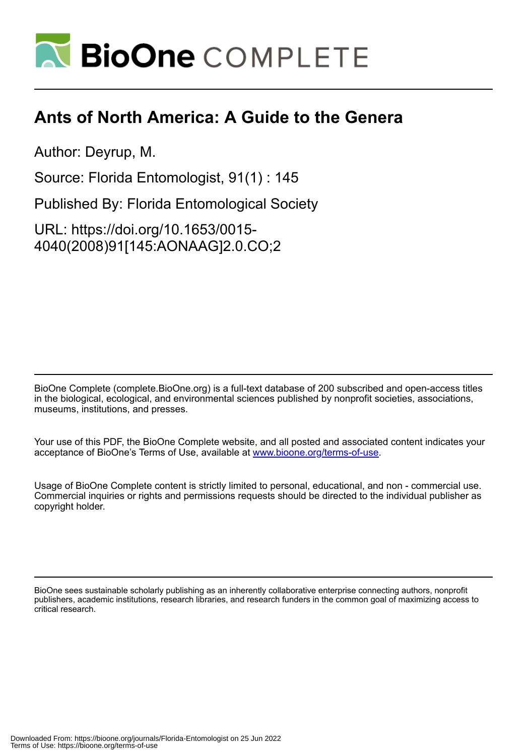

## **Ants of North America: A Guide to the Genera**

Author: Deyrup, M.

Source: Florida Entomologist, 91(1) : 145

Published By: Florida Entomological Society

URL: https://doi.org/10.1653/0015- 4040(2008)91[145:AONAAG]2.0.CO;2

BioOne Complete (complete.BioOne.org) is a full-text database of 200 subscribed and open-access titles in the biological, ecological, and environmental sciences published by nonprofit societies, associations, museums, institutions, and presses.

Your use of this PDF, the BioOne Complete website, and all posted and associated content indicates your acceptance of BioOne's Terms of Use, available at www.bioone.org/terms-of-use.

Usage of BioOne Complete content is strictly limited to personal, educational, and non - commercial use. Commercial inquiries or rights and permissions requests should be directed to the individual publisher as copyright holder.

BioOne sees sustainable scholarly publishing as an inherently collaborative enterprise connecting authors, nonprofit publishers, academic institutions, research libraries, and research funders in the common goal of maximizing access to critical research.